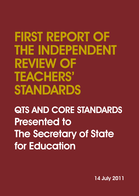# FIRST REPORT OF THE INDEPENDENT REVIEW OF TEACHERS' STANDARDS

**QTS AND CORE STANDARDS** Presented to **The Secretary of State** for Education

14 July 2011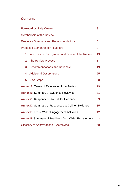# **Contents**

| <b>Foreword by Sally Coates</b>                           |                                                     |    |
|-----------------------------------------------------------|-----------------------------------------------------|----|
| Membership of the Review                                  |                                                     |    |
| <b>Executive Summary and Recommendations</b>              |                                                     |    |
| <b>Proposed Standards for Teachers</b>                    |                                                     |    |
|                                                           | 1. Introduction: Background and Scope of the Review | 13 |
|                                                           | 2. The Review Process                               | 17 |
|                                                           | 3. Recommendations and Rationale                    | 19 |
|                                                           | 4. Additional Observations                          | 25 |
|                                                           | 5. Next Steps                                       | 28 |
| <b>Annex A: Terms of Reference of the Review</b>          |                                                     |    |
| <b>Annex B: Summary of Evidence Reviewed</b>              |                                                     |    |
| <b>Annex C: Respondents to Call for Evidence</b>          |                                                     |    |
| <b>Annex D:</b> Summary of Responses to Call for Evidence |                                                     |    |
| <b>Annex E: List of Wider Engagement Activities</b>       |                                                     |    |
| <b>Annex F: Summary of Feedback from Wider Engagement</b> |                                                     |    |
| Glossary of Abbreviations & Acronyms                      |                                                     |    |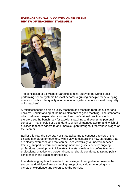## **FOREWORD BY SALLY COATES, CHAIR OF THE REVIEW OF TEACHERS' STANDARDS**

<span id="page-4-0"></span>

The conclusion of Sir Michael Barber's seminal study of the world's best performing school systems has fast become a guiding principle for developing education policy: "the quality of an education system cannot exceed the quality of its teachers".

A relentless focus on high-quality teachers and teaching requires a clear and universal understanding of the basic elements of good teaching. The standards which define our expectations for teachers' professional practice should therefore set the benchmark for excellent teaching and exemplary personal conduct. They should set a standard to which all trainees aspire, and which all qualified teachers adhere to and improve upon throughout the various stages of their career.

Earlier this year the Secretary of State asked me to conduct a review of the existing standards for teachers, with a view to establishing new standards that are clearly expressed and that can be used effectively to underpin teacher training, support performance management and guide teachers' ongoing professional development. Ultimately, the standards which define teachers' professional practice and personal conduct should contribute to raising public confidence in the teaching profession.

In undertaking my task I have had the privilege of being able to draw on the support and advice of an outstanding group of individuals who bring a rich variety of experience and expertise to the Review.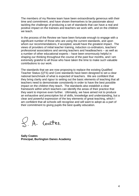The members of my Review team have been extraordinarily generous with their time and commitment, and have shown themselves to be passionate about tackling the challenge of producing a set of standards that can have a real and positive impact on the trainees and teachers we work with, and on the children we teach.

In the process of the Review we have been fortunate enough to engage with a significant number of those who are using the current standards, and upon whom our recommendations, if accepted, would have the greatest impact. The views of providers of initial teacher training, induction co-ordinators, teachers' professional associations and serving teachers and headteachers – as well as a number of other educational experts – have been enormously helpful in shaping our thinking throughout the course of the past four months, and I am extremely grateful to all those who have taken the time to make such valuable contributions to our work.

The standards that we are now proposing to replace the existing Qualified Teacher Status (QTS) and Core standards have been designed to set a clear national benchmark of what is expected of teachers. We are confident that they bring clarity and rigour to setting out the basic elements of teaching that all teachers need to demonstrate consistently in order to have the best possible impact on the children they teach. The standards also establish a clear framework within which teachers can identify the areas of their practice that they want to improve even further. Ultimately, we have aimed not to produce an exhaustive and prescriptive list of skills, knowledge and understanding, but a clear and powerful expression of the key elements of great teaching, which I am confident that all schools will recognise and will want to adopt as a part of their commitment to giving pupils the best quality education.

 $\mathcal{L}$ . A. Coates.

**Sally Coates Principal, Burlington Danes Academy**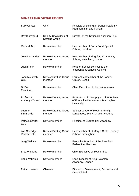# <span id="page-6-0"></span>**MEMBERSHIP OF THE REVIEW**

| <b>Sally Coates</b>                  | Chair                                          | Principal of Burlington Danes Academy,<br>Hammersmith and Fulham                             |
|--------------------------------------|------------------------------------------------|----------------------------------------------------------------------------------------------|
| Roy Blatchford                       | Deputy Chair/Chair of<br><b>Drafting Group</b> | Director of the National Education Trust                                                     |
| <b>Richard Aird</b>                  | <b>Review member</b>                           | <b>Headteacher of Barrs Court Special</b><br>School, Hereford                                |
| Joan Deslandes                       | <b>Review/Drafting Group</b><br>member         | <b>Headteacher of Kingsford Community</b><br>School, Newnham, London                         |
| <b>Judith Fenn</b>                   | Review member                                  | Head of School Services at the<br><b>Independent Schools Council</b>                         |
| John McIntosh<br><b>OBE</b>          | <b>Review/Drafting Group</b><br>member         | Former Headteacher of the London<br><b>Oratory School</b>                                    |
| Dr Dan<br>Moynihan                   | Review member                                  | <b>Chief Executive of Harris Academies</b>                                                   |
| Professor<br>Anthony O'Hear          | <b>Review/Drafting Group</b><br>member         | Professor of Philosophy and former Head<br>of Education Department, Buckingham<br>University |
| Leanne<br>Simmonds                   | <b>Review/Drafting Group</b><br>member         | Subject Leader of Modern Foreign<br>Languages, Evelyn Grace Academy                          |
| <b>Patricia Sowter</b><br><b>CBE</b> | <b>Review member</b>                           | Principal of Cuckoo Hall Academy                                                             |
| Ava Sturridge-<br>Packer CBE         | <b>Review/Drafting Group</b><br>member         | Headteacher of St Mary's C of E Primary<br>School, Birmingham                                |
| Greg Wallace                         | Review member                                  | <b>Executive Principal of the Best Start</b><br>Federation, Hackney                          |
| <b>Brett Wigdortz</b>                | Review member                                  | <b>Chief Executive of Teach First</b>                                                        |
| Lizzie Williams                      | Review member                                  | Lead Teacher at King Solomon<br>Academy, London                                              |
| <b>Patrick Leeson</b>                | Observer                                       | Director of Development, Education and<br>Care, Ofsted                                       |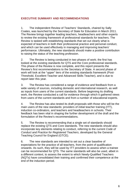# <span id="page-7-0"></span>**EXECUTIVE SUMMARY AND RECOMMENDATIONS**

1. The independent Review of Teachers' Standards, chaired by Sally Coates, was launched by the Secretary of State for Education in March 2011. The Review brings together leading teachers, headteachers and other experts to review the existing framework of professional standards for teachers. The Review is tasked with establishing standards that set out clearly what is expected of teachers in both their professional practice and personal conduct, and which can be used effectively in managing and improving teachers' performance. Ultimately, the new standards should make a positive contribution to raising the status of the teaching profession.

2. The Review is being conducted in two phases of work; the first has looked at the existing standards for QTS and the Core professional standards. This phase of the Review is now complete, and this report presents the Review's first recommendations to the Secretary of State. A second phase of work will look at the "upper" tiers of the existing standards framework (Post-Threshold, Excellent Teacher and Advanced Skills Teacher), and is due to report later this year.

3. The Review has considered a range of evidence and feedback from a wide variety of sources, including domestic and international research, as well as inputs from users of the current standards. Before beginning its drafting work, the Review conducted a call for evidence through which it gathered views from users of the current standards and from a number of educational experts.

4. The Review has also tested its draft proposals with those who will be the main users of the new standards: providers of initial teacher training (ITT), induction co-ordinators, and teachers and headteachers in schools. Their feedback has been vital in shaping the further development of the draft and the formulation of the Review's recommendations.

5. The Review is recommending that a single set of standards should replace the existing QTS and Core standards. The new standards should also incorporate key elements relating to conduct, referring to the current *Code of Conduct and Practice for Registered Teachers*, developed by the General Teaching Council for England (GTCE).

6. The new standards are intended to set out a clear baseline of expectations for the practice of all teachers, from the point of qualification onwards. As such, they will be used by ITT providers to assess when a trainee can be recommended for QTS. The same standards will also be used, albeit in a different context, to assess the extent to which Newly-Qualified Teachers (NQTs) have consolidated their training and confirmed their competence at the end of the induction period.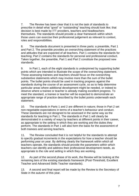7. The Review has been clear that it is not the task of standards to prescribe in detail what "good" or "outstanding" teaching should look like; that decision is best made by ITT providers, teachers and headteachers themselves. The standards should provide a clear framework within which those users can exercise their professional judgement as relevant to context, roles and responsibilities.

8. The standards document is presented in three parts: a preamble, Part 1 and Part 2. The preamble provides an overarching statement of the practices and attitudes that are expected of all teachers. Part 1 contains the standards for teaching; Part 2 contains the standards for personal and professional conduct. Taken together, the preamble, Part 1 and Part 2 constitute the proposed new standards.

9. In Part 1, each of the eight standards is underpinned by supporting bullet points which are intended to illustrate the scope of the overarching statement. Those assessing trainees and teachers should focus on the overarching substantive statements which may involve more than the sum of the bullet points. The bullet points should be used in tracking progress against the standards during the course of an assessment cycle, so as to help determine particular areas where additional development might be needed, or indeed to observe where a trainee or teacher is already making excellent progress. To meet the standard, a trainee or teacher will be expected to demonstrate an appropriate range of practice described by the bullet points underneath each statement.

10. The standards in Parts 1 and 2 are different in nature; those in Part 2 set non-negotiable expectations in terms of a teacher's behaviour and conduct. These standards are not designed to be assessed in the same way as the standards for teaching in Part 1. The standards in Part 1 will clearly be demonstrated in a variety of ways by teachers at different points in their career, as appropriate to the setting in which they are working and the duties they perform. The standards in Part 1 will also form the basis for the assessment of both trainees and serving teachers.

11. The Review concluded that it is not helpful for the standards to attempt to specify gradual increments in the expectations for how a teacher should be performing year on year. By defining clearly the framework within which all teachers operate, the standards should provide the parameters within which teachers can identify and address their professional development needs, as appropriate to the role and setting in which they are working.

12. As part of the second phase of its work, the Review will be looking at the remaining tiers of the existing standards framework (Post-Threshold, Excellent Teacher and Advanced Skills Teacher standards).

13. A second and final report will be made by the Review to the Secretary of State in the autumn of this year.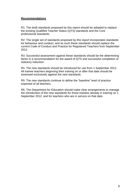## **Recommendations**

R1: The draft standards proposed by this report should be adopted to replace the existing Qualified Teacher Status (QTS) standards and the Core professional standards.

R2: The single set of standards proposed by this report incorporates standards for behaviour and conduct, and as such these standards should replace the current Code of Conduct and Practice for Registered Teachers from September 2012.

R3: Successful assessment against these standards should be the determining factor in a recommendation for the award of QTS and successful completion of statutory induction.

R4. The new standards should be introduced for use from 1 September 2012. All trainee teachers beginning their training on or after that date should be assessed exclusively against the new standards.

R5: The new standards continue to define the "baseline" level of practice expected of all teachers.

R6. The Department for Education should make clear arrangements to manage the introduction of the new standards for those trainees already in training on 1 September 2012, and for teachers who are in service on that date.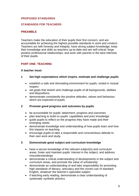# <span id="page-10-0"></span>**PROPOSED STANDARDS**

## **STANDARDS FOR TEACHERS**

# **PREAMBLE**

Teachers make the education of their pupils their first concern, and are accountable for achieving the highest possible standards in work and conduct. Teachers act with honesty and integrity; have strong subject knowledge, keep their knowledge and skills as teachers up-to-date and are self-critical; forge positive professional relationships; and work with parents in the best interests of their pupils.

# **PART ONE: TEACHING**

#### **A teacher must:**

#### **1 Set high expectations which inspire, motivate and challenge pupils**

- establish a safe and stimulating environment for pupils, rooted in mutual respect
- set goals that stretch and challenge pupils of all backgrounds, abilities and dispositions
- demonstrate consistently the positive attitudes, values and behaviour which are expected of pupils.

#### **2 Promote good progress and outcomes by pupils**

- be accountable for pupils' attainment, progress and outcomes
- plan teaching to build on pupils' capabilities and prior knowledge
- guide pupils to reflect on the progress they have made and their emerging needs
- demonstrate knowledge and understanding of how pupils learn and how this impacts on teaching
- encourage pupils to take a responsible and conscientious attitude to their own work and study.

#### **3 Demonstrate good subject and curriculum knowledge**

- have a secure knowledge of the relevant subject(s) and curriculum areas, foster and maintain pupils' interest in the subject, and address misunderstandings
- demonstrate a critical understanding of developments in the subject and curriculum areas, and promote the value of scholarship
- demonstrate an understanding of and take responsibility for promoting high standards of literacy, articulacy and the correct use of standard English, whatever the teacher's specialist subject
- if teaching early reading, demonstrate a clear understanding of systematic synthetic phonics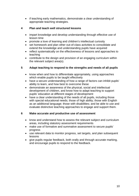• if teaching early mathematics, demonstrate a clear understanding of appropriate teaching strategies.

# **4 Plan and teach well structured lessons**

- impart knowledge and develop understanding through effective use of lesson time
- promote a love of learning and children's intellectual curiosity
- set homework and plan other out-of-class activities to consolidate and extend the knowledge and understanding pupils have acquired
- reflect systematically on the effectiveness of lessons and approaches to teaching
- contribute to the design and provision of an engaging curriculum within the relevant subject area(s).

# **5 Adapt teaching to respond to the strengths and needs of all pupils**

- know when and how to differentiate appropriately, using approaches which enable pupils to be taught effectively
- have a secure understanding of how a range of factors can inhibit pupils' ability to learn, and how best to overcome these
- demonstrate an awareness of the physical, social and intellectual development of children, and know how to adapt teaching to support pupils' education at different stages of development
- have a clear understanding of the needs of all pupils, including those with special educational needs; those of high ability; those with English as an additional language; those with disabilities; and be able to use and evaluate distinctive teaching approaches to engage and support them.

# **6 Make accurate and productive use of assessment**

- know and understand how to assess the relevant subject and curriculum areas, including statutory assessment requirements
- make use of formative and summative assessment to secure pupils' progress
- use relevant data to monitor progress, set targets, and plan subsequent lessons
- give pupils regular feedback, both orally and through accurate marking, and encourage pupils to respond to the feedback.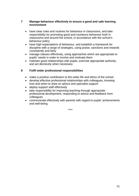## **7 Manage behaviour effectively to ensure a good and safe learning environment**

- have clear rules and routines for behaviour in classrooms, and take responsibility for promoting good and courteous behaviour both in classrooms and around the school, in accordance with the school's behaviour policy
- have high expectations of behaviour, and establish a framework for discipline with a range of strategies, using praise, sanctions and rewards consistently and fairly
- manage classes effectively, using approaches which are appropriate to pupils' needs in order to involve and motivate them
- maintain good relationships with pupils, exercise appropriate authority, and act decisively when necessary.

# **8 Fulfil wider professional responsibilities**

- make a positive contribution to the wider life and ethos of the school
- develop effective professional relationships with colleagues, knowing how and when to draw on advice and specialist support
- deploy support staff effectively
- take responsibility for improving teaching through appropriate professional development, responding to advice and feedback from colleagues
- communicate effectively with parents with regard to pupils' achievements and well-being.

\*\*\*\*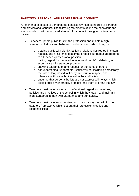# **PART TWO: PERSONAL AND PROFESSIONAL CONDUCT**

A teacher is expected to demonstrate consistently high standards of personal and professional conduct. The following statements define the behaviour and attitudes which set the required standard for conduct throughout a teacher's career.

- Teachers uphold public trust in the profession and maintain high standards of ethics and behaviour, within and outside school, by:
	- o treating pupils with dignity, building relationships rooted in mutual respect, and at all times observing proper boundaries appropriate to a teacher's professional position
	- o having regard for the need to safeguard pupils' well-being, in accordance with statutory provisions
	- o showing tolerance of and respect for the rights of others
	- o not undermining fundamental British values, including democracy, the rule of law, individual liberty and mutual respect, and tolerance of those with different faiths and beliefs
	- o ensuring that personal beliefs are not expressed in ways which exploit pupils' vulnerability or might lead them to break the law.
- Teachers must have proper and professional regard for the ethos, policies and practices of the school in which they teach, and maintain high standards in their own attendance and punctuality.
- Teachers must have an understanding of, and always act within, the statutory frameworks which set out their professional duties and responsibilities.

\*\*\*\*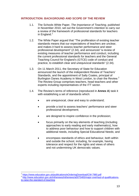# <span id="page-14-0"></span>**INTRODUCTION: BACKGROUND AND SCOPE OF THE REVIEW**

- 1.1. The Schools White Paper, *The Importance of Teaching,* published in November 2010, set out the Government's intention to carry out a review of the framework of professional standards for teachers in England.<sup>[1](#page-14-1)</sup>
- 1.2. The White Paper argued that "The proliferation of existing teacher standards means that our expectations of teachers are unclear, and makes it hard to assess teacher performance and steer professional development" (2.34), and announced "a review of existing measures of teacher performance and conduct, including the current professional standards for teachers and the General Teaching Council for England's (GTCE) code of conduct and practice, to establish clear and unequivocal standards" (2.34).
- 1.3. On 11 March 2011, the Secretary of State for Education announced the launch of the independent Review of Teachers' Standards, and the appointment of Sally Coates, principal of Burlington Danes Academy in West London, to chair the Review.<sup>[2](#page-14-2)</sup> The Review Group comprises teachers, head teachers and other experts including representatives of the ITT sector.
- 1.4. The Review's terms of reference (reproduced in **Annex A**) task it with establishing a set of standards which:
	- are unequivocal, clear and easy to understand;
	- provide a tool to assess teachers' performance and steer professional development;
	- are designed to inspire confidence in the profession;
	- focus primarily on the key elements of teaching (including approaches to early reading and early mathematics), how to address poor behaviour and how to support children with additional needs, including Special Educational Needs; and
	- encompass standards of ethics and behaviour, both within and outside the school, including, for example, having tolerance and respect for the rights and views of others and not undermining UK democratic values.

<sup>1</sup> 

<span id="page-14-2"></span><span id="page-14-1"></span><sup>&</sup>lt;sup>1</sup> <https://www.education.gov.uk/publications/eOrderingDownload/CM-7980.pdf><br><sup>2</sup> http://www.education.gov.uk/inthenews/inthenews/a00754<u>65/major-overhaul-of-qualifications-</u> [to-raise-the-standard-of-teaching](http://www.education.gov.uk/inthenews/inthenews/a0075465/major-overhaul-of-qualifications-to-raise-the-standard-of-teaching)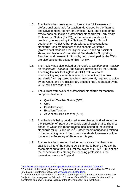- 1.5. The Review has been asked to look at the full framework of professional standards for teachers developed by the Training and Development Agency for Schools (TDA). The scope of the review does not include professional standards for Early Years Professional Status (EYPS), or the national standards for headship, developed by the National College for School Leadership (NCSL). Other professional and occupational standards used by members of the schools workforce (professional standards for Higher Level Teaching Assistant status, and National Occupational Standards for Supporting Teaching and Learning in Schools, both developed by the TDA) are also outside the scope of this Review.
- 1.6. The Review has also looked at the *Code of Conduct and Practice for Registered Teachers* ("the Code"), developed by the General Teaching Council for England (GTCE), with a view to incorporating key elements relating to conduct into the new standards.<sup>[3](#page-15-0)</sup> All registered teachers are currently required to abide by the Code, and any disciplinary proceedings undertaken by the GTCE will have regard to it.
- 1.7. The current framework of professional standards for teachers comprises five tiers:
	- Qualified Teacher Status (QTS)
	- Core

1

- Post-Threshold
- Excellent Teacher
- Advanced Skills Teacher (AST)
- 1.8. The Review is being conducted in two phases, and will report to the Secretary of State at the conclusion of each phase. The first phase, to which this report relates, has looked at the existing standards for QTS and Core.<sup>[4](#page-15-1)</sup> Further recommendations relating to the remaining tiers of the current standards framework will be made to the Secretary of State later this year.
- 1.9. Trainee teachers are required to demonstrate that they have satisfied all 33 of the current QTS standards before they can be recommended to the GTCE for the award of  $QTS$ <sup>[5](#page-15-2)</sup>  $QTS$  defines the benchmark for entering the teaching profession in the maintained sector in England.

<span id="page-15-1"></span><span id="page-15-0"></span><sup>&</sup>lt;sup>3</sup> http://www.gtce.org.uk/documents/publicationpdfs/code\_of\_conduct\_1009.pdf<br><sup>4</sup> For details of the existing framework of professional standards, produced by the TDA and introduced in September 2007, see [www.tda.gov.uk/standards.](http://www.tda.gov.uk/standards)

<span id="page-15-2"></span><sup>&</sup>lt;sup>5</sup> The Government confirmed in the Schools White Paper that it intends to abolish the GTCE. Subject to the passage of the Education Bill, some of the GTCE's current functions will be transferred to a new Executive Agency of the DfE with effect from April 2012.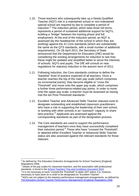- 1.10. Those teachers who subsequently take up a Newly-Qualified Teacher (NQT) role in a maintained school or non-maintained special school are required by law to complete a period of induction.<sup>[6](#page-16-0)</sup> The induction period, which lasts three full terms, represents a period of sustained additional support for NQTs, building a "bridge" between the training phase and full employment. At the end of the induction period, an NQT is assessed (by the headteacher of the school in which they are working) against the 41 Core standards (which are substantially the same as the QTS standards, with a small number of additional requirements). On 28 April 2011, the Secretary of State announced that the Department for Education (DfE) would be considering the existing arrangements for induction to see how these might be updated and simplified better to serve the interests of schools, NQTs and pupils. The DfE will consult on new regulations for statutory induction in the autumn term of 2011.
- 1.11. Following induction, the Core standards continue to define the "baseline" level of practice expected of all teachers. Once a teacher reaches the top of the main pay scale (which comprises six incremental points), they become eligible to "cross the Threshold" and move onto the upper pay scale, which comprises a further three performance-related pay points. In order to move onto the upper pay scale, a teacher must be assessed as having met the ten Post-Threshold standards.<sup>[7](#page-16-1)</sup>
- 1.12. Excellent Teacher and Advanced Skills Teacher statuses exist to designate outstanding and established classroom practitioners who have a role in supporting the leadership of their own school, or working with other schools in an "outreach" capacity to share best practice.<sup>[8](#page-16-2)</sup> Applicants are assessed against the corresponding standards as part of the designation process.
- 1.13. The Core standards are used to support the performance management of teachers once they have successfully completed their induction period.<sup>[9](#page-16-3)</sup> Those who have "crossed the Threshold", or attained either Excellent Teacher or Advanced Skills Teacher status are also assessed against the relevant standards for those statuses.

<u>.</u>

<span id="page-16-0"></span> $6$  As defined by The Education (Induction Arrangements for School Teachers) (England) Regulations 2008.

<span id="page-16-1"></span> $7$  Details of the pay scales for classroom teachers, and the association with professional standards, is found in the [School Teachers' Pay and Conditions Document 2010.](https://www.education.gov.uk/publications/eOrderingDownload/2010%20PandC%20All%20sections.pdf)

<span id="page-16-2"></span> $8$  It is not necessary to have "crossed the Threshold" to attain AST status; it is, however, necessary to have done so in order to be designated an "Excellent Teacher".

<span id="page-16-3"></span><sup>&</sup>lt;sup>9</sup> NQTs are not subject to the statutory performance management arrangements, as defined by [The Education \(School Teacher Performance Management\) \(England\) Regulations 2006.](http://www.legislation.gov.uk/uksi/2006/2661/made/data.pdf)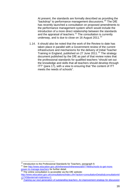At present, the standards are formally described as providing the "backdrop" to performance management discussions.<sup>[10](#page-17-0)</sup> The DfE has recently launched a consultation on proposed amendments to the performance management system which would include the introduction of a more direct relationship between the standards and the appraisal of teachers.<sup>[11](#page-17-1)</sup> The consultation is currently underway, and is due to close on 16 August 2011.<sup>[12](#page-17-2)</sup>

1.14. It should also be noted that the work of the Review to date has taken place in parallel with a Government review of the current infrastructure and mechanisms for the delivery of Initial Teacher Training in England, published on 27 June  $2011$ .<sup>[13](#page-17-3)</sup> The strategy document published by the DfE as part of that review notes that the professional standards for qualified teachers "should set out the knowledge and skills that all teachers should develop through ITT" (para 17), with a view to ensuring that "the content of ITT meets the needs of schools".

<span id="page-17-1"></span><span id="page-17-0"></span><sup>&</sup>lt;sup>10</sup> Introduction to the Professional Standards for Teachers, paragraph 9.

<sup>&</sup>lt;sup>10</sup> Introduction to the Professional Standards for Teachers, paragraph 9.<br><sup>11</sup> See <u>http://www.education.gov.uk/inthenews/inthenews/a0077469/schools-to-get-more-</u> [power-to-manage-teachers](http://www.education.gov.uk/inthenews/inthenews/a0077469/schools-to-get-more-power-to-manage-teachers) for further detail.

 $12$  The online consultation is accessible via the DfE website:

<span id="page-17-2"></span>[http://www.education.gov.uk/consultations/index.cfm?action=consultationDetails&consultationId](http://www.education.gov.uk/consultations/index.cfm?action=consultationDetails&consultationId=1743&external=no&menu=1)<br>=1743&external=no&menu=1

<span id="page-17-3"></span>[<sup>=1743&</sup>amp;external=no&menu=1](http://www.education.gov.uk/consultations/index.cfm?action=consultationDetails&consultationId=1743&external=no&menu=1) [13](http://www.education.gov.uk/consultations/index.cfm?action=consultationDetails&consultationId=1743&external=no&menu=1) *[Training our next generation of outstanding teachers: An improvement strategy for discussion](http://media.education.gov.uk/assets/files/pdf/t/training%20our%20next%20generation%20of%20outstanding%20teachers.pdf)*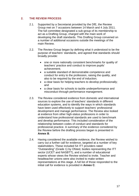# <span id="page-18-0"></span>**2. THE REVIEW PROCESS**

- 2.1. Supported by a Secretariat provided by the DfE, the Review Group met on 7 occasions between 14 March and 4 July 2011. The full committee designated a sub-group of its membership to act as a Drafting Group, charged with the main work of developing the draft standards. This Drafting Group convened on a number of additional occasions outside the meetings of the main Review.
- 2.2. The Review Group began by defining what it understood to be the purpose of teachers' standards, and agreed that standards should broadly provide:
	- one or more nationally consistent benchmarks for quality of teachers' practice and conduct to improve pupils' achievement;
	- a suitable standard of demonstrable competence and conduct for entry to the profession, raising the quality, and also to be required by the end of induction;
	- a clear basis for helping teachers to develop professionally; and
	- a clear basis for schools to tackle underperformance and misconduct through performance management.
- 2.3. The Review considered evidence from domestic and international sources to explore the use of teachers' standards in different education systems, and to identify the ways in which standards have been used effectively to support teachers' professional development and manage performance. The Review also looked at evidence from other high-status professions in order to understand how professional standards are used to benchmark and develop performance. This included consideration of the relationship between codes of conduct and standards for professional practice. A summary of the evidence considered by the Review before the drafting process began is presented in **Annex B**.
- 2.4. Having considered the available evidence, the Review wished to carry out a further call for evidence, targeted at a number of key stakeholders. These included 54 ITT providers rated "Outstanding" (Grade 1) by Ofsted, bodies representing the ITT sector (UCET and NASBTT), and a number of educational experts whose views the Review wished to invite. Teacher and headteacher unions were also invited to make written representations at this stage. A full list of those responded to the initial call for evidence is provided in **Annex C**.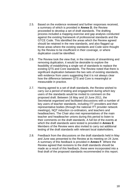- 2.5. Based on the evidence reviewed and further responses received, a summary of which is provided in **Annex D**, the Review proceeded to develop a set of draft standards. The drafting process included a mapping exercise and gap analysis conducted against the existing framework of professional standards and the GTCE Code. This identified the areas which the Review agreed should be retained in the new standards, and also flagged up those areas where the existing standards and Code were thought by the Review to be insufficient in their coverage, or where duplication could be identified.
- 2.6. The Review took the view that, in the interests of streamlining and removing duplication, it would be desirable to explore the feasibility of establishing a single set of standards to replace the existing QTS and Core standards. The Review noted that there is significant duplication between the two sets of existing standards, with evidence from users suggesting that it is not always clear how the difference between QTS and Core is meaningful or measurable in practice.
- 2.7. Having agreed to a set of draft standards, the Review wished to carry out a period of testing and engagement during which key users of the standards would be invited to comment on the proposed draft. Between 16 May and 10 June 2011, the Secretariat organised and facilitated discussions with a number of key users of teacher standards, including ITT providers and their representative bodies (through the national ITT provider network meetings), NQT induction co-ordinators, and teachers and headteachers. The Chair also met representatives of the main teacher and headteacher unions during this period to listen to their comments on the draft standards. A full list of the events at which the draft standards were tested is provided in **Annex E**. Members of the Review were also invited to carry out additional testing of the draft standards with relevant local stakeholders.
- 2.8. Feedback from the discussions on the draft standards held in May and June was presented to the Review at its meeting on 24 June. A summary of this feedback is provided in **Annex F**. Where the Review agreed that revisions to the draft standards should be made as a result of this feedback, these were incorporated into a final draft of the proposed standards recommended in this report.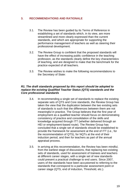# <span id="page-20-0"></span>**3. RECOMMENDATIONS AND RATIONALE**

- 3.1. The Review has been guided by its Terms of Reference in establishing a set of standards which, in its view, are more streamlined and more clearly expressed than the current standards, and which are appropriate for supporting the performance management of teachers as well as steering their professional development.
- 3.2. The Review Group is confident that the proposed standards will have the effect of increasing public confidence in the teaching profession, as the standards clearly define the key characteristics of teaching, and are designed to make that the benchmark for the practice expected of all teachers.
- 3.3. The Review wishes to make the following recommendations to the Secretary of State:

#### *R1. The draft standards proposed by this report should be adopted to replace the existing Qualified Teacher Status (QTS) standards and the Core professional standards*

- 3.4. In recommending a single set of standards to replace the existing separate sets of QTS and Core standards, the Review Group has taken the view that the duplication between the two existing sets of standards is such that the differences between them are not meaningful in practice. The Group believes that the first year of employment as a qualified teacher should focus on demonstrating consistency of practice and consolidation of the skills and knowledge acquired through ITT (whether delivered through an HEI or employment-based route). The Review Group has concluded that a single set of standards should be established to provide the framework for assessment at the end of ITT (i.e., for the recommendation of QTS), for NQTs at the end of their induction period, and then for teachers as part of the annual appraisal process.
- 3.5. In arriving at this recommendation, the Review has been mindful, from the earliest stage of discussions, that replacing two existing sets of standards, used for assessment of trainees and teachers at different career stages, with a single set of new standards could present a practical challenge to end users. Since 2007, users of the standards have been accustomed to referring to the standards that correspond to a particular assessment point or career stage (QTS, end of induction, Threshold, etc.).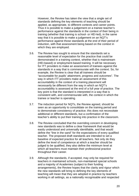However, the Review has taken the view that a single set of standards defining the key elements of teaching should be applied, as appropriate, to different contexts and career points. Thus it is possible to make a judgement on a trainee teacher's performance against the standards in the context of their being in training (whether that training is school- or HEI-led), in the same way that it is possible to make a judgement on an NQT's performance against those standards at the end of their period of induction, with that assessment being based on the context in which they are employed.

- 3.6. The Review has sought to ensure that the standards set a reasonable level of expectation for the practice that could be demonstrated in a training context, whether that is mainstream (HEI-based) or employment-based training. It will be necessary for ITT providers to make an assessment of trainees against the standards in a way that is commensurate with the context. So, for example, the Review is clear that all trainees should be "accountable for pupils' attainment, progress and outcomes". The way in which ITT providers make an assessment of this accountability in the context of a training placement will necessarily be different from the way in which an NQT's accountability is assessed at the end of a full year of practice. The key point is that the standard is interpreted in a way that is consistent with, and commensurate with, the context in which the trainee or teacher is operating.
- 3.7. The induction period for NQTs, the Review agreed, should be seen as an opportunity to consolidate on the training period and to demonstrate consistency of practice; this does not necessitate additional or different standards, but a confirmation of the teacher's ability to put their training into practice in the classroom.
- 3.8. The Review concluded that the overriding concern in developing new standards was to define a clear framework that would be easily understood and universally identifiable, and that would define the "line in the sand" for the expectations of every qualified teacher. The proposed draft standards are intended to set a baseline of expected practice for all teachers. Not only do they define the level of competence at which a teacher should be judged to be qualified, they also define the minimum level at which all teachers must maintain their professional practice throughout their career.
- 3.9. Although the standards, if accepted, may only be required for teachers in maintained schools, non-maintained special schools and a majority of Academies (subject to their funding arrangements), the Review hopes that the clarity and rigour which the new standards will bring to defining the key elements of teaching will mean that they are adopted in practice by teachers working in all settings, as a nationally recognisable and respected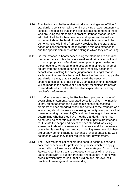- 3.10. The Review also believes that introducing a single set of "floor" standards is consistent with the aim of giving greater autonomy to schools, and placing trust in the professional judgement of those who are using the standards in practice. If these standards are adopted, it will be for headteachers and appraisers to make a judgement about the level of practice that a teacher should be demonstrating within the framework provided by the standards, based on consideration of the individual's role and experience, and the specific demands of the setting in which they are working.
- 3.11. So, for instance, a headteacher using the standards to appraise the performance of teachers in a small rural primary school, and to plan appropriate professional development opportunities for those teachers, will need to take account of a different range of factors from the headteacher of a large inner-city secondary school who is making the same judgements. It is right that, in each case, the headteacher should have the freedom to apply the standards in a way that is consistent with the needs and circumstances of his or her school. Both assessments, however, will be made in the context of a nationally recognised framework of standards which define the baseline expectations for every teacher's performance.
- 3.12. In drafting the standards, the Review has opted for a model of overarching statements, supported by bullet points. The intention is that, taken together, the bullet points constitute essential elements of each standard: within the context of the standard as a whole they should be seen as focusing on the type of practice that those assessing trainees, NQTs and teachers might observe in determining whether they have met the standard. Rather than being read as separate standards, the bullet points are intended to illustrate the scope and extent of each standard, assisting assessors to develop a narrative of how successfully the trainee or teacher is meeting the standard, including areas in which they are already demonstrating an advanced level of practice as well as those in which they might require further development.
- 3.13. The Review's principal concern has been to define a clear and coherent benchmark for professional practice which can apply universally to all teachers at different career stages. As such, the Review is confident that the proposed standards will provide a useful framework to support trainees and teachers in identifying areas in which they could further build on and improve their practice, knowledge and understanding.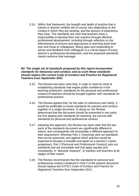3.14. Within that framework, the breadth and depth of practice that a trainee or teacher exhibits will of course vary depending on the context in which they are working, and the amount of experience they have. The standards are clear that teachers have a responsibility to develop their own practice through effective professional development, including through reflection on the effectiveness of lessons and approaches to teaching (both their own and those of colleagues). Being open and responding to advice and feedback from colleagues is a critical aspect of every teacher's professional development, and the proposed standards clearly reinforce that message.

#### *R2. The single set of standards proposed by this report incorporates standards for behaviour and conduct, and as such these standards should replace the current* **Code of Conduct and Practice for Registered Teachers** *from September 2012*

- 3.15. The Review has been clear that, in order to meet its remit of establishing standards that inspire public confidence in the teaching profession, standards for the personal and professional conduct of teachers should be brought together with standards for professional practice.
- 3.16. The Review agreed that, for the sake of coherence and clarity, it would be preferable to locate standards for practice and conduct together in a single document. In doing so, the Review determined that the document should be presented in two parts; the first dealing with standards for teaching, the second with standards for personal and professional conduct.
- 3.17. Adopting this approach, the Review has been clear that the two parts of the standards document are significantly different in nature, and consequently will necessitate a different approach to their assessment. Whereas Part 1 (Teaching) sets out standards that can be assessed, and against which practice would be expected to develop in breadth and depth as a teacher's career progresses, Part 2 (Personal and Professional Conduct) sets out standards that are immutable and that apply equally and consistently, in "absolute measure", to trainees and teachers at all stages of their career.
- 3.18. The Review recommends that the standards for personal and professional conduct contained in Part 2 of the present document should replace the GTCE's *Code of Conduct and Practice for Registered Teachers* from September 2012.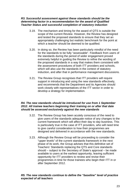#### *R3. Successful assessment against these standards should be the determining factor in a recommendation for the award of Qualified Teacher Status and successful completion of statutory induction*

- 3.19. The mechanism and timing for the award of QTS is outside the scope of the current Review. However, the Review has designed and tested the proposed standards to ensure that they set an appropriately challenging but realistic benchmark for the point at which a teacher should be deemed to be qualified.
- 3.20. In doing so, the Review has been particularly mindful of the need for the standards to be fully "assessable". Feedback from users of the standards during the period of wider engagement proved extremely helpful in guiding the Review to refine the wording of the proposed standards in a way that makes them consistent with the assessment procedures of both ITT providers and schools, which will also use the standards in the context of statutory induction, and after that in performance management discussions.
- 3.21. The Review Group recognises that ITT providers will require support in introducing and using the new standards effectively, and recommends that the Department and its Agencies should work closely with representatives of the ITT sector in order to develop a strategy for implementation.

#### *R4. The new standards should be introduced for use from 1 September 2012. All trainee teachers beginning their training on or after that date should be assessed exclusively against the new standards*

- 3.22. The Review Group has been acutely conscious of the need to give users of the standards adequate notice of any changes to the current framework which will affect their day to day business. This is particularly true in the case of ITT providers, who will need time to give careful consideration to how their programmes are designed and delivered in accordance with the new standards.
- 3.23. Although the Review Group will be proceeding to consider the "upper levels" of the current standards framework in the next phase of its work, the Group advises that this definitive set of Teachers' Standards replacing the QTS and Core standards should – subject to the Secretary of State's approval – be made available to users at the earliest opportunity, leaving sufficient opportunity for ITT providers to review and revise their programmes in time for those trainees who begin their ITT in or after September 2012.

# *R5. The new standards continue to define the "baseline" level of practice expected of all teachers*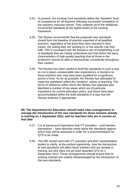- 3.24. At present, the existing Core standards define the "baseline" level of competence for all teachers following successful completion of the statutory induction period. They underpin all of the additional, incremental standards at the higher levels of the existing framework.
- 3.25. The Review recommends that the proposed new standards should form the baseline of practice expected of all qualified teachers, regardless of the point they have reached in their career, the setting they are working in, or the specific role they fulfil. This is consistent with the Review's aim of establishing a set of standards that are clearly understood and that define the basic characteristics of high-quality teaching that all those in the profession should be able to demonstrate consistently throughout their careers.
- 3.26. The Review has been careful to draft the standards in such a way as not to place unreasonable new expectations or burdens on those teachers who may have been qualified for a significant period of time. As far as possible, the Review has attempted to make the standards reflect the "timeless" values of teaching. The terms of reference within which the Review has operated also identified a number of key areas which are of particular importance for current education policy, and those have been accommodated within the draft standards in a way that the Review believes is appropriate.

#### *R6. The Department for Education should make clear arrangements to manage the introduction of the new standards for those trainees already in training on 1 September 2012, and for teachers who are in service on that date*

- 3.27. It is of paramount importance that ITT providers and trainees themselves – have absolute clarity about the standards against which they will be assessed in order for a recommendation for QTS to be made.
- 3.28. The DfE should work with ITT providers and their representative bodies to clarify, at the earliest opportunity, how the introduction of new standards will affect those trainees who are already in training, but who have not yet been awarded QTS on 1 September 2012. These arrangements should ensure that no existing trainees are unfairly disadvantaged by the introduction of the new standards.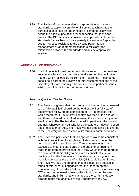3.29. The Review Group agrees that it is appropriate for the new standards to apply universally to all serving teachers, as their purpose is to set out an enduring set of competences which define the basic expectations for all teaching that is of good quality. The DfE must also consider the implications of the new standards for teachers who are already in service in September 2012. Proposed revisions to the existing performance management arrangements for teachers will clarify the relationship between the standards and any new appraisal system.

## <span id="page-26-0"></span>**ADDITIONAL OBSERVATIONS**

3.30. In addition to its formal recommendations set out in the previous section, the Review also wishes to make some observations on matters which fall outside its Terms of Reference. These do not constitute a part of the Review's formal recommendations to the Secretary of State, but might be considered as pertinent issues arising out of those formal recommendations.

#### Award of Qualified Teacher Status

- 3.31. The Review suggests that the point at which a teacher is deemed to be "fully qualified" should be the end of the first full year of employment following the completion of ITT. In practice, this would mean that QTS is "provisionally" awarded at the end of ITT, and then confirmed or revoked following the end of a first year of employment. The Review Group noted, in particular, the current anomaly whereby an NQT who fails the statutory induction period does not lose their QTS. The Review is not proposing this change to the Secretary of State as part of its formal recommendations.
- 3.32. The Review is persuaded that this approach would be consistent with the introduction of a single set of standards to cover the periods of training and induction. Thus a trainee would be expected to meet the standards at the end of their training in order to be granted provisional QTS; they would then be required to demonstrate their ability to maintain a consistent level of practice within the framework of the standards throughout their induction period, at the end of which QTS would be confirmed. The Review Group understands that this issue falls outside its terms of reference, but suggests that the Department for Education might consider whether the arrangements for awarding QTS could be reviewed following the introduction of the new standards, and in light of any changes to the current Induction arrangements that arise out of the Department's review.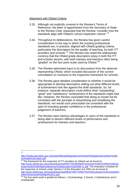#### Alignment with Ofsted Criteria

- 3.33. Although not explicitly covered in the Review's Terms of Reference, the letter of appointment from the Secretary of State to the Review Chair requested that the Review "consider how the standards align with Ofsted's school inspection criteria".<sup>[14](#page-27-0)</sup>
- 3.34. Throughout its deliberations, the Review has given careful consideration to the way in which the existing professional standards are, in practice, aligned with Ofsted grading criteria, particularly the descriptors for the quality of teaching, by both ITT providers and schools.<sup>[15](#page-27-1)</sup> The Review has noted the widespread currency that the Ofsted grade descriptors enjoy in both the ITT and schools sectors, with both trainees and teachers often being "graded" on the four point scale used by Ofsted.<sup>[16](#page-27-2)</sup>
- 3.35. The Review welcomed input to its discussions from the observer representing Ofsted, which included discussion of the current consultation on revisions to the inspection framework for schools.
- 3.36. The Review gave detailed consideration to whether it would be appropriate to develop descriptors setting out what different levels of achievement look like against the draft standards. So, for instance, separate descriptors could define what "outstanding", "good" and "satisfactory" achievement of the standards might look like. However, the Review concluded that doing so would not be consistent with the principle of streamlining and simplifying the standards; nor would such prescription be consistent with the spirit of investing greater confidence in the professional judgement of teachers.
- 3.37. The Review sees obvious advantages to users of the standards in being able to discern different levels of performance and achievement for trainees and teachers.

 $\frac{1}{14}$ 

<span id="page-27-0"></span>[http://media.education.gov.uk/assets/files/pdf/g/guidance%20and%20publications/letter%20to](http://media.education.gov.uk/assets/files/pdf/g/guidance%20and%20publications/letter%20to%20sally%20coates.pdf) [%20sally%20coates.pdf](http://media.education.gov.uk/assets/files/pdf/g/guidance%20and%20publications/letter%20to%20sally%20coates.pdf)

<span id="page-27-1"></span> $15$  The framework for the inspection of ITT providers by Ofsted can be found at: [http://www.ofsted.gov.uk/content/download/5977/54263/file/Framework%20for%20the%20insp](http://www.ofsted.gov.uk/content/download/5977/54263/file/Framework%20for%20the%20inspection%20of%20initial%20teacher%20education%202008-11.pdf) [ection%20of%20initial%20teacher%20education%202008-11.pdf.](http://www.ofsted.gov.uk/content/download/5977/54263/file/Framework%20for%20the%20inspection%20of%20initial%20teacher%20education%202008-11.pdf) The evaluation schedule for the inspection of schools under Section 5 of the Education Act 2005 can be found at [http://www.ofsted.gov.uk/content/download/9632/106774/file/The%20evaluation%20schedule%](http://www.ofsted.gov.uk/content/download/9632/106774/file/The%20evaluation%20schedule%20for%20schools%20April%2011.pdf)<br>20for%20schools%20April%2011.pdf.

<span id="page-27-2"></span><sup>2006</sup> September 2012. prints 2011. pdf. 11. pdf. [16 The four-point scale is graded as fo](http://www.ofsted.gov.uk/content/download/9632/106774/file/The%20evaluation%20schedule%20for%20schools%20April%2011.pdf)llows: 1 (Outstanding), 2 (Good), 3 (Satisfactory) and 4 (Inadequate).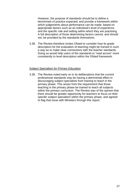However, the purpose of standards should be to define a benchmark of practice expected, and provide a framework within which judgements about performance can be made, based on appropriate factors such as an individual's level of experience, and the specific role and setting within which they are practising. A full description of those determining factors cannot, and should not, be provided by the standards themselves.

3.38. The Review therefore invites Ofsted to consider how its grade descriptors for the evaluation of teaching might be framed in such a way as to make clear connections with the teacher standards. Doing so would help users of the standards to "read across" more consistently to level descriptors within the Ofsted framework.

#### Subject Specialism for Primary Education

3.39. The Review noted early on in its deliberations that the current professional standards may be having a detrimental effect in discouraging subject specialists from training to teach in the primary phase. This arises from the requirement that those teaching in the primary phase be trained to teach all subjects within the primary curriculum. The Review was of the opinion that there should be greater opportunity for teachers to focus on their specific subject specialism within the primary phase, and agreed to flag that issue with Ministers through this report.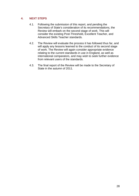# <span id="page-29-0"></span>**4. NEXT STEPS**

- 4.1. Following the submission of this report, and pending the Secretary of State's consideration of its recommendations, the Review will embark on the second stage of work. This will consider the existing Post-Threshold, Excellent Teacher, and Advanced Skills Teacher standards.
- 4.2. The Review will evaluate the process it has followed thus far, and will apply any lessons learned to the conduct of its second stage of work. The Review will again consider appropriate evidence relating to the current standards in use in England, as well as international comparators, and may wish to seek further evidence from relevant users of the standards.
- 4.3. The final report of the Review will be made to the Secretary of State in the autumn of 2011.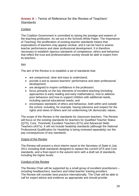# <span id="page-30-0"></span>**Annex A** – Terms of Reference for the Review of Teachers' **Standards**

## **Context**

The Coalition Government is committed to raising the prestige and esteem of the teaching profession. As set out in the Schools White Paper, The Importance of Teaching, the proliferation of existing teacher standards means that expectations of teachers may appear unclear, and it can be hard to assess teacher performance and steer professional development. It is therefore necessary to establish rigorous standards of competence, ethics and behaviour that reflect the trust and professionalism society should be able to expect from its teachers.

#### Aim

The aim of the Review is to establish a set of standards that:

- are unequivocal, clear and easy to understand;
- provide a tool to assess teachers' performance and steer professional development;
- are designed to inspire confidence in the profession;
- focus primarily on the key elements of excellent teaching (including approaches to early reading and early mathematics), how to address poor behaviour and how to support children with additional needs, including special educational needs; and
- encompass standards of ethics and behaviour, both within and outside the school, including, for example, having tolerance and respect for the rights and views of others and not undermining UK democratic values.

The scope of the Review is the standards for classroom teachers. The Review will focus on the existing standards for teachers for Qualified Teacher Status (QTS), Core, Threshold, Excellent Teachers (ETs) and Advanced Skills Teachers (ASTs). It will not include headship standards (although the National Professional Qualification for Headship is being reviewed separately) nor the pay consequences of any standards.

#### Output of the Review

The Review will present a short interim report to the Secretary of State in July 2011 including draft standards designed to replace the current QTS and Core standards, and a final report in the autumn term with a draft set of standards, including the higher levels.

#### Conduct of the Review

The Review Chair will be supported by a small group of excellent practitioners – including headteachers, teachers and initial teacher training providers. The Review will consider best practice internationally. The Chair will be able to call for expert advice and evidence as appropriate and should provide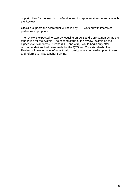opportunities for the teaching profession and its representatives to engage with the Review.

Officials' support and secretariat will be led by DfE working with interested parties as appropriate.

The review is expected to start by focusing on QTS and Core standards, as the foundation for the system. The second stage of the review, examining the higher-level standards (Threshold, ET and AST), would begin only after recommendations had been made for the QTS and Core standards. The Review will take account of work to align designations for leading practitioners and reforms to initial teacher training.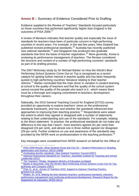# <span id="page-32-0"></span>**Annex B** – Summary of Evidence Considered Prior to Drafting

Evidence supplied to the Review of Teachers' Standards focused particularly on those countries that performed significantly higher than England in the outcomes of PISA 2009.<sup>[17](#page-32-1)</sup>

A review of literature indicates that teacher quality and especially the issue of standards for teachers have been of particular concern in high-performing countries in recent years. For example, in the last few years, New Zealand has published revised professional standards,[18](#page-32-2) Australia has recently published new national standards,[19](#page-32-3) and Singapore has produced new graduate standards that form the basis of teacher registration.<sup>[20](#page-32-4)</sup> More generally, Korea is reviewing its performance management of teachers. The Review considered the structure and content of a number of high-performing countries' standards as part of its drafting process.

The 2007 McKinsey study by Sir Michael Barber on *How the World's Best Performing School Systems Come Out on Top* is recognised as a recent catalyst for igniting further interest in teacher quality and has been frequently quoted in high performing countries' literature relating to their teacher reforms.[21](#page-32-5) Barber concluded that the main driver in variation in student learning at school is the quality of teachers and that the quality of the school system cannot exceed the quality of the people who teach in it , which means there must be a thorough and ongoing commitment to teachers; development throughout their careers.

Nationally, the 2010 General Teaching Council for England (GTCE) survey provided an opportunity to explore teachers' views on the professional standards framework, and how and whether the standards influenced their approaches to improving their teaching practice.<sup>[22](#page-32-6)</sup> Respondents were asked the extent to which they agreed or disagreed with a number of statements relating to their understanding and use of the standards. For example, relating to the direct statement: 'In practice, the professional standards do not make any difference to the way that I teach', more teachers agreed (41 per cent) than disagreed (24 per cent), and almost one in three neither agreed nor disagreed (29 per cent). Further evidence on use and awareness of the standards was provided by the NFER work on professionalism in the teaching profession.<sup>[23](#page-32-7)</sup>

Key messages were considered from NFER research on behalf for the Office of

1

<span id="page-32-1"></span><sup>17</sup> *PISA 2009 Results*: *[What Students Know and Can Do – Student Performance in Reading,](http://www.oecd.org/edu/pisa/2009)  [Mathematics and Science](http://www.oecd.org/edu/pisa/2009)*, OECD (2009)<br><sup>18</sup> *Graduating teacher standards*[, New Zealand Teachers' Council \(2007\)](http://www.teacherscouncil.govt.nz/te/gts/index.stm)<br><sup>19</sup> *National Professional Standards for Teachers*, Australian Institute for Teaching and School

<span id="page-32-3"></span><span id="page-32-2"></span>[Leadership \(2011\)](http://www.teacherstandards.aitsl.edu.au/)<br><sup>20</sup> The Teachers' Pledge, Singapore Ministry of Education (undated)

<span id="page-32-4"></span><sup>&</sup>lt;sup>21</sup> Barber & Mourshed, [How the World's Best Performing School Systems Come Out On Top](http://www.mckinsey.com/App_Media/Reports/SSO/Worlds_School_Systems_Final.pdf),

<span id="page-32-6"></span><span id="page-32-5"></span>[McKinsey and Company \(2007\)](http://www.mckinsey.com/App_Media/Reports/SSO/Worlds_School_Systems_Final.pdf)<br><sup>[22](http://www.mckinsey.com/App_Media/Reports/SSO/Worlds_School_Systems_Final.pdf)</sup> Poet, H., et al., *[Survey of Teachers 2010, Support to Improve Teaching Practice](http://www.gtce.org.uk/documents/publicationpdfs/teach_survey10.pdf)*,<br>NEER/GTCE (2010)<br><sup>23</sup> Malker, M. at al. 44: West and the contract of the contract of the contract of the c

<span id="page-32-7"></span>Walker, M., et al. *Making the links between teachers' professional standards, induction, [performance management and continuing professional development](https://www.education.gov.uk/publications/eOrderingDownload/DFE-RR075.pdf)*, Research Report for the [Department for Education, NFER \(2011\)](https://www.education.gov.uk/publications/eOrderingDownload/DFE-RR075.pdf)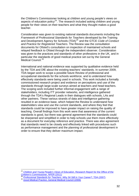the Children's Commissioner looking at children and young people's views on aspects of education policy<sup>[24](#page-33-0)</sup>. The research included asking children and young people for their views on their teachers and what they thought makes a good teacher.

Consideration was given to existing national standards documents including the *Framework of Professional Standards for Teachers* developed by the Training and Development Agency for Schools (TDA)[25](#page-33-1) and the GTCE *Code of Conduct and Practice for Registered Teachers*. The Review saw the consultation documents for Ofsted's consultation on inspection of maintained schools and relayed feedback to Ofsted through the independent observer. Consideration was given to the practices and standards of other professions in the UK, and in particular the standards of good medical practice set out by the General Medical Council.<sup>[26](#page-33-2)</sup>

International and national evidence was supported by qualitative evidence held by the TDA and DfE about the existing teachers' standards. In summer 2009, TDA began work to scope a possible future Review of professional and occupational standards for the schools workforce, and to understand how effectively standards were being used in schools. This work included a formally commissioned research project and evidence on perceptions and use of the standards through large-scale surveys aimed at teachers and head teachers. The scoping work included further informal engagement with a range of stakeholders, including ITT provider networks, and intelligence gathered through the TDA's Regional Leads in their dialogues with schools, LAs and other partners. These various strands of data and intelligence gathering resulted in an evidence base, which helped the Review to understand how stakeholders view and use the current standards, and where they feel that standards could be improved to have greater impact on raising the quality of teaching. Overall findings from this work were that awareness of the current standards is good, but there was general agreement that the standards could be sharpened and simplified in order to help schools use them more effectively as a document for everyday reference and practice. There was also agreement that standards need to be closely and effectively linked with procedures such as performance management and the planning of professional development in order to ensure that they deliver maximum impact.

1

<span id="page-33-0"></span><sup>24</sup> *[Children and Young People's Views of Education](http://www.childrenscommissioner.gov.uk/force_download.php?fp=%2Fclient_assets%2Fcp%2Fpublication%2F483%2FChildrens_and_young_peoples_views_of_education_policy.pdf)*, Research Report for the Office of the [Children's Commissioner, NFER \(2011\) 25](http://www.childrenscommissioner.gov.uk/force_download.php?fp=%2Fclient_assets%2Fcp%2Fpublication%2F483%2FChildrens_and_young_peoples_views_of_education_policy.pdf) *Professional Standards for Teachers: Why Sit Still in Your Career?*[, TDA \(2007\)](http://www.tda.gov.uk/teacher/developing-career/professional-standards-guidance/%7E/media/resources/teacher/professional-standards/standards_a4.pdf) 26 *Good Medical Practice*, General Medical Council (2006)

<span id="page-33-1"></span>

<span id="page-33-2"></span>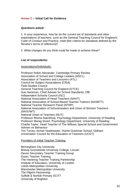# <span id="page-34-0"></span>**Annex C – Initial Call for Evidence**

## **Questions asked:**

1. In your experience, how far do the current set of standards and other expectations of teachers, such as the General Teaching Council for England's Code of Conduct and Practice, meet [the criteria for standards defined by the Review's terms of reference]?

2. What changes do you think could be made to achieve these?

## **List of respondents:**

#### Associations/Individuals:

Professor Robin Alexander, Cambridge Primary Review Association of School and College Leaders (ASCL) Association of Teachers and Lecturers (ATL) Council for Subject Associations (CfSA) Field Studies Council General Teaching Council for England (GTCE) Sue Hackman, Chief Adviser for School Standards, DfE Independent Schools Council (ISC) National Association of Head Teachers (NAHT) National Association of School-Based Teacher Trainers (NASBTT) National Teacher Research Panel (NTRP) National Association of Schoolmasters and Union of Women Teachers (NASUWT) National Union of Teachers (NUT) Professor Rhona Stainthorp, Psychology Department, University of Reading Professor Morag Stuart, Psychology Department, University of Reading Charlie Taylor, Head Teacher of The Willows Special School and Government Adviser on Behaviour Tim Turvey, former headmaster, Hulme Grammar School, Oldham Universities' Council for the Education of Teachers (UCET)

#### Providers of Initial Teacher Training:

Birmingham City University Bishop Grosseteste University College, Lincoln Devon Secondary Teacher Training Group Essex Teacher Training The Havering Teacher Training Partnership Institute of Education, University of London Leeds Metropolitan University Manchester Metropolitan University The Pilgrim Partnership Suffolk & Norfolk Primary SCITT University of Brighton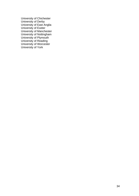University of Chichester University of Derby University of East Anglia University of Exeter University of Manchester University of Nottingham University of Plymouth University of Reading University of Worcester University of York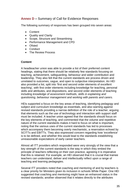# <span id="page-36-0"></span>**Annex D –** Summary of Call for Evidence Responses

The following summary of responses has been grouped into seven areas:

- Content
- Quality and Clarity
- Scope, Structure and Streamlining
- Performance Management and CPD
- Ofsted
- Conduct
- The Review Process

## **Content**

A headteacher union was able to provide a list of their preferred content headings, stating that there should be relatively few standards focusing on teaching, achievement, safeguarding, behaviour and wider contribution and leadership. They also felt that the current standards are process driven and unrelated to outcomes, vague, and open to subjective interpretation. An HEI also provided a list, split into 'first and second order elements of excellent teaching', with first order elements including knowledge for teaching, personal skills and attributes, and dispositions, and second order elements of teaching including *knowledge of assessment methods, skills in explaining and questioning, behaviour management and working with parents and carers.*

HEIs supported a focus on the key areas of teaching, identifying pedagogy and subject and curriculum knowledge as essentials, and also warning against revised standards providing a narrow definition of the role of a teacher, arguing that elements such as the use of technology and interaction with support staff must be included. A teacher union agreed that the standards should focus on the key elements of teaching, and commented that the volume and repetitive nature of the current standards makes it hard to focus on what is important, noting that the various uses of the current standards has led to processes which accompany them becoming overly mechanistic, a reservation echoed by SCITTs and EBITTs. They also expressed concern regarding how 'excellence' is to be defined, and whether this would lead to the standards establishing unreasonable expectations of early career teachers.

Almost all ITT providers which responded were very strongly of the view that a key strength of the current standards is the way in which they embed the principle of teachers reflecting on their own practice, agreeing it is imperative that this is retained. For example, an HEI observed that it is crucial that trainee teachers can understand, deliver and intellectually reflect upon a range of teaching and learning pedagogies.

Several ITT providers noted that coaching and mentoring of and by teachers is a clear priority for Ministers given its inclusion in schools White Paper. One HEI suggested that coaching and mentoring might have an enhanced status in the revised standards; another observed that it relates directly to the attributes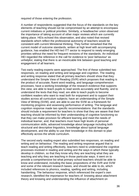required of those entering the profession.

A number of respondents suggested that the focus of the standards on the key elements of teaching should not be compromised by an attempt to encompass current initiatives or political priorities. Similarly, a headteacher union observed the importance of taking account of other major reviews which are currently taking place. HEIs echoed this observation, and also noted that revised standards which reflect the professional autonomy of teachers would be consistent with current Ministerial thinking. They further remarked that the current model of outcome standards, written at high level with accompanying guidance, has enabled the HEI-led ITT sector to respond to newly emerging priorities without the need for frequent revisions of the standards. An individual HEI regarded the reference in the call for evidence to 'poor behaviour' as unhelpful, stating that there is an inextricable link between good teaching and engagement of all learners.

Two early reading experts were approached. The first of these submitted two responses, on reading and writing and language and cognition. The reading and writing response stated that all primary teachers should show that they: understand the Simple View of Reading (SVR) which proposes that reading is the product of accurate, fluent word reading, and language comprehension processes; have a working knowledge of the research evidence that supports this view; are able to teach pupils to read words accurately and fluently, and to understand the texts that they read; are able to teach pupils to become confident readers who want to read both for enjoyment and to support their studies across all curriculum subjects; have an understanding of the Simple View of Writing (SVW), and; are able to use the SVW as a framework for monitoring progress and assessing performance of writing. The language and cognition response made two specific recommendations: that the standards should include a requirement for teachers to show that they are aware that their teaching should be informed by their understanding of cognitive functioning so that they can make provision for efficient learning and meet the needs of individual learner, and; that teachers must have high levels of personal communication skills, advanced knowledge about language including both structural and descriptive linguistics, knowledge about typical language development, and the ability to use their knowledge in this domain to plan effectively across the whole curriculum.

The second early reading expert also submitted two responses, on reading and writing and on behaviour. The reading and writing response argued that to teach reading and writing effectively, teachers need to understand the cognitive processes involved in reading and writing and the ways in which these typically develop in children, so that they know why they are teaching what they are teaching and why they are teaching in those particular ways. It went on to provide a comprehensive list what primary school teachers should be able to know and understand, including the basic propositions of the SVR and SVW and some of the relevant research bases, and should be able to do, which included references to phonics, reading, spelling and writing, including handwriting. The behaviour response, which referenced the expert's own research, identified the importance for teachers of: knowing about attachment theory and knowing and understanding the influence of attachment on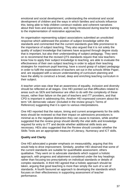emotional and social development; understanding the emotional and social development of children and the ways in which families and schools influence this; being able to help children construct realistic and coherent narratives about their lives and experiences, and; being introduced during teacher training to the implementation of restorative approaches.

An organisation representing subject associations submitted an unsolicited response which addressed the position of subject knowledge within the standards and commented that the current standards give little prominence to the importance of subject teaching. They also argued that it is not solely the quality of subject knowledge that trainees have acquired through degree study that is important, but also their understanding of subject pedagogy. They went on to recommend that the revised QTS standards require that new teachers: know how to apply their subject knowledge to teaching; are able to evaluate the effectiveness of their own subject teaching in order to adjust their teaching strategies for maximum pupil learning; have a sound grasp of subject pedagogy in order to fulfil the expectations of teachers set out in the schools White Paper, and; are equipped with a secure understanding of curriculum planning and have the ability to construct a broad, deep and enriching teaching curriculum in their subject.

A teacher union was clear that an awareness of equality, inclusion and diversity should be reflected at all stages. One HEI pointed out that difficulties related to areas such as SEN and behaviour are often to do with the complexity of these issues, rather than failure on the part of teachers and ITT providers, and that CPD is important in addressing this. Another HEI expressed concern about the term 'UK democratic values' (included in the review group's Terms of Reference) suggesting that it is open to various interpretations.

One HEI reported that the nature, timing and current arrangements for the skills tests should be reviewed so that their impact on admissions procedures is minimal as is the negative distraction they can cause to trainees, while another suggested that the review group should identify the vital skills and knowledge required for entry to ITT and decide whether additional skills tests are necessary. HEIs also suggested that the Review should consider whether the Skills Tests are an appropriate measure of Literacy, Numeracy and ICT skills.

# **Quality and Clarity**

One HEI advocated a greater emphasis on measurability, arguing that this would help to drive improvement. Similarly, another HEI observed that some of the current standards are suitable for quantifiable assessment, others qualitative. They went on to advocate standards which support a holistic approach, with progress and attainment considered under the key headings rather than focusing too prescriptively on individual standards or details of complex standards. A third HEI agreed that a holistic approach should be taken, arguing that good teaching is more than simply the sum of a set of standards. A fourth favoured an approach to developing the standards which focuses on their effectiveness in supporting assessment of teacher performance.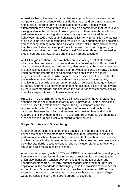A headteacher union favoured an ambitious approach which focuses on both competence and excellence, with standards that should be simple, concrete and concise, referring only to recognisable behaviours against which differentiation can demonstrably occur. They also commented that there is very strong evidence that skills and knowledge do not differentiate those whose performance is outstanding; this is almost always demonstrated through behaviours, attitudes, values and characteristics. An HEI identified the danger of an oversimplified set of standards resulting in key attributes being neglected, and becoming nothing more than a list of unrefined skills. They also observed that the current standards support the link between good learning and good behaviour, and that the current 'Professional Attributes' should be retained as they encourage self-awareness and criticality among teachers.

An HEI suggested there is tension between developing a set of standards which are clear and easy to understand and the necessity for sufficient detail which unequivocal standards will require, also noting that the current standards are significantly better in this regard than previous versions. Similarly, a teacher union noted the importance of balancing clear identification of explicit progression with standards which against which assessment can easily take place, while another felt that there should be a greater focus on quality of practice in contrast with the current emphasis on collecting large quantities of evidence. A further HEI commented that some essential skills are not covered by the current standards, but also noted the danger of new standards placing unrealistic expectations on classroom teachers.

HEIs, SCITTs and EBITTs noted the distinctive usage of the QTS standards and their role in securing accountability of ITT providers. Their submissions also discussed the relationship between the QTS standards and the ITT requirements, with HEIs commenting that the review should not blur the distinction between that which trainee teachers must achieve and what is required of ITT providers, and SCITTs and EBITTs by contrast commenting on areas of overlap, in particular with regard to entry criteria.

#### **Scope, Structure and Streamlining**

A teacher union response stated that a teacher's private beliefs should be beyond the scope of the standards, which should be restricted to quality of performance in school; however they were clear that this should not be limited to what happens in the classroom. In contrast, a headteacher union were of the view that standards related to conduct should include reference to teachers' status as a role model outside of school.

A teacher union, along with SCITTs and EBITTs, commented that developing a framework which applies to all age ranges is problematic; the same teacher union also identified a tension between this and the notion of clear and unequivocal standards. Similarly, another teacher union felt that universal application of the standards is challenging, as is the provision of evidence for some of them. On a related point, a third teacher union and an HEI felt that extending the scope of the standards to apply to those working in colleges would be feasible given their current breadth of coverage.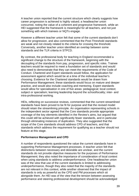A teacher union reported that the current structure which clearly suggests how career progression is achieved is highly valued; a headteacher union concurred, noting the value of a coherent and progressive framework, while an HEI suggested that the framework is meaningful for all teachers, and not just something with which trainees or NQTs engage.

However a different teacher union felt that some of the current standards don't allow for progression, and also commented that the Post-Threshold standards are weak and not closely related to the criteria for crossing the threshold. Conversely, another teacher union identified an overlap between some standards and the TLR criteria in STPCD.

By contrast, the professional body for teaching in England recommended a significant change to the structure of the framework, beginning with the decoupling of the standards from pay, progression, and specific roles. Trainee teachers would be required to meet a foundation set of standards and would also need to demonstrate that they can meet the requirements of the Code of Conduct. Chartered and Expert standards would follow, the application for assessment against which would be at a time of the individual teacher's choosing. Evidence for the Chartered standards would be drawn from Performance Management; these standards would focus on mature and deeper practice, and would also include coaching and mentoring. Expert standards would allow for specialisation in one of five areas: pedagogical; local context; subject or specialism; learning leadership beyond the school/locality; inter- and intra-professional working.

HEIs, reflecting on successive reviews, commented that the current streamlined standards have been proved to be fit for purpose and that the revised model should retain the streamlining principle. An organisation representing schools in the independent sector agreed that the Core standards provide appropriate coverage of the key elements identified in the Review's aims, but argued that this could still be achieved with significantly fewer standards, and in particular through eliminating instances of duplication. They also suggested that the scope of the Core standards should address CPD of teachers, and that standards which address the requirement for qualifying as a teacher should not feature at this stage.

# **Performance Management and CPD**

A number of respondents questioned the value the current standards have in supporting Performance Management processes. A teacher union felt that distinctions between necessary and desirable are unclear, and the current standards do not provide objective measures for the purposes of Performance Management; they also noted the importance of consideration of local context when using standards to address underperformance. One headteacher union was of the view that use of the current standards is limited to addressing underperformance, though they also noted that the majority of the standards are not relevant in this context, while another observed that the impact of standards is only as powerful as the CPD and PM processes which sit alongside them. An HEI was of the view that the tension between assessing performance and steering professional development should be acknowledged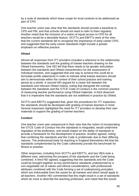by a suite of standards which leave scope for local contexts to be addressed as part of CPD.

One teacher union was clear that the standards should provide a backdrop to CPD and PM, and that schools should not need to refer to them regularly. Another noted that the inclusion of a notion of equal access to CPD for all teachers would be a desirable feature. SCITTs and EBITTs were of the view that the current standards fail to recognise the importance of early-career CPD, and suggested that the early-career standards might include a greater emphasis on reflective practice.

# **Ofsted**

Almost all responses from ITT providers included a reference to the relationship between the standards and the grading of trainee teachers drawing on the Ofsted frameworks. One HEI felt that there needs to be greater articulation between the standards and Ofsted characteristics for the assessment of individual trainees, and suggested that one way to achieve this could be to formulate profile statements in order to indicate what trainee teachers should aim to demonstrate within the context of their school practice and training period as a whole. A second HEI argued for a closer link between the standards and relevant Ofsted criteria, noting that alongside the overlap between the standards and the GTCE Code of Conduct is the common practice of measuring teacher performance using Ofsted materials. A third observed that it is imperative that the standards are not redefined in practice by Ofsted.

SCITTs and EBITTs suggested that, given the procedures for ITT inspection, the standards should be developed with grading of trainee teachers in mind. Several responses highlighted the need for ITT providers to develop their own materials to support the grading of trainee teachers.

# **Conduct**

One teacher union was unequivocal in their view that the notion of incorporating the GTCE Code of Conduct into the standards is misguided, would undermine regulation of the profession, and would impact on the ability of standards to provide a framework for the development of practice. Another agreed, noting that combining the standards and the Code is problematic due to their differing natures. The professional body for teaching in England themselves felt that the standards complemented by the Code collectively provide the benchmark for fitness to practise.

Other responses, including from SCITTs and EBITTs, and two HEIs took a different view, welcoming the prospect of the standards and the Code being combined. A third HEI agreed, suggesting that the standards and the Code could be brought together as key performance standards underpinned by a non-negotiable set of values and ethical considerations, with professional attributes combined with the Code forming a set of underpinning principles which are enforceable from the outset for all trainees and which would apply to all teachers. Another HEI commented that this might result in a set of standards which do more to describe the teaching profession, and noted that this would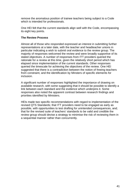remove the anomalous position of trainee teachers being subject to a Code which is intended for professionals.

One HEI felt that the current standards align well with the Code, encompassing its eight key points.

#### **The Review Process**

Almost all of those who responded expressed an interest in submitting further representations at a later date, with the teacher and headteacher unions in particular indicating a wish to submit oral evidence to the review group. The majority of responses welcomed the review and were broadly supportive of its stated objectives. A number of responses from ITT providers queried the rationale for a review at this time, given the relatively short period which has elapsed since implementation of the current standards. Other responses queried the timescale for achieving the objectives of the review. One HEI suggested that there is a contradiction between the notion of freeing teachers from constraint, and the identification by Minsters of specific elements for inclusion.

A significant number of responses highlighted the importance of drawing on available research, with some suggesting that it should be possible to identify a link between each standard and the evidence which underpins it. Some responses also noted the apparent contrast between research findings and priorities identified by Ministers.

HEIs made two specific recommendations with regard to implementation of the revised QTS Standards; that ITT providers need to be engaged as early as possible, with opportunities to test drafting for unintended consequences, and; that for the revised suite of teachers' standards to be valid and credible the review group should devise a strategy to minimise the risk of reviewing them in a sequential manner rather than concurrently.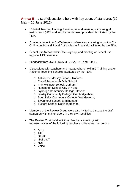<span id="page-43-0"></span>**Annex E** – List of discussions held with key users of standards (10 May – 10 June 2011)

- 15 Initial Teacher Training Provider network meetings, covering all mainstream (HEI) and employment-based providers, facilitated by the TDA.
- 2 national Induction Co-Ordinator conferences, covering Induction Co-Ordinators from all Local Authorities in England, facilitated by the TDA.
- TeachFirst Ambassadors' focus group, and meeting of TeachFirst regional HEI providers.
- Feedback from UCET, NASBTT, ISA, ISC, and GTCE.
- Discussions with teachers and headteachers held in 9 Training and/or National Teaching Schools, facilitated by the TDA:
	- o Ashton-on-Mersey School, Trafford;
	- o City of Portsmouth Girls School;
	- o Framwellgate School, Durham;
	- o Huntington School, City of York;
	- o Ivybridge Community College, Devon;
	- o Sawtry Community College, Cambridgeshire;
	- o Southfields Community College, Wandsworth;
	- o Swanhurst School, Birmingham;
	- o Tuxford School, Nottinghamshire.
- Members of the Review Group were also invited to discuss the draft standards with stakeholders in their own localities.
- The Review Chair held individual feedback meetings with representatives of the following teacher and headteacher unions:
	- o ASCL
	- o ATL
	- o NAHT
	- o NASUWT
	- o NUT
	- o Voice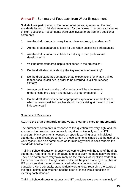# <span id="page-44-0"></span>**Annex F –** Summary of Feedback from Wider Engagement

Stakeholders participating in the period of wider engagement on the draft standards issued on 16 May were asked for their views in response to a series of eight questions. Respondents were also invited to provide any additional comments.

- 1 Are the draft standards unequivocal, clear and easy to understand?
- 2 Are the draft standards suitable for use when assessing performance?
- 3 Are the draft standards suitable for helping to plan professional development?
- 4 Will the draft standards inspire confidence in the profession?
- 5 Do the draft standards identify the key elements of teaching?
- 6 Do the draft standards set appropriate expectations for what a trainee teacher should achieve in order to be awarded Qualified Teacher Status?
- 7 Are you confident that the draft standards will be adequate in underpinning the design and delivery of programmes of ITT?
- 8 Do the draft standards define appropriate expectations for the level at which a newly-qualified teacher should be practising at the end of their induction year?

# Summary of Responses

#### **Q1: Are the draft standards unequivocal, clear and easy to understand?**

The number of comments in response to this question was very high, and the answer to the question was generally negative, universally so from ITT providers. Many comments focused on specific wording used in individual standards; a significant proportion of these comments singled out the use of the word "good", and also commented on terminology which it is felt renders the standards hard to assess.

Training School discussion groups were comfortable with the tone of the draft standards, reporting that the language and especially the headings were clear. They also commented very favourably on the removal of repetition evident in the current standards, though some endorsed the point made by a number of ITT providers that the terminology used reflects an outmoded view of education. More generally, stakeholders were unclear regarding the status of the bullet points, and whether meeting each of these was a condition of meeting each standard.

Training School discussion groups and ITT providers were overwhelmingly of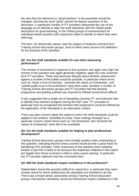the view that the reference to "good teachers" in the preamble should be changed, and that the word "good" should not feature anywhere in the document. A significant number of ITT providers interpreted the use of this language as an attempt to align the draft standards with the Ofsted grade descriptors for good teaching, or the Ofsted groups of characteristics for individual trainee teachers (the responses failed to identify to which they were referring).

The term 'UK democratic values' was the subject of frequent comment from Training School discussion groups, most of which were unsure of its definition for the purpose of the standard.

## **Q2: Are the draft standards suitable for use when assessing performance?**

The number of comments in response to this question was again very high; the answer to the question was again generally negative; again this was universal from ITT providers. There was particular disquiet about whether assessment against a number of the bullets would be possible, in particular where terms such as "foster a love of learning", "promote the values of scholarship", and "uphold public trust in the profession" have been used. Similarly a number of Training School discussion groups and ITT providers felt that tracking progression and grading trainees (as required by Ofsted) would prove difficult.

It was suggested that a single set of standards covering ITT and Induction fails to identify how teachers progress during the NQT year. ITT providers in particular had not recognised the intention that progression would be defined by the application of the standards in an alternative context.

There was also concern about the extent to which the draft standards could be applied in all contexts. Suitability for Early Years settings emerged as a particular concern where terms such as "set homework" and "promote the values of scholarship" were felt to be unsuitable.

#### **Q3: Are the draft standards suitable for helping to plan professional development?**

Training School discussion groups were broadly positive when responding to this question, indicating that the areas covered would provide a good basis for identifying CPD activities. Other responses to this question were relatively limited; in part this is likely to be because the responses reflected in this report are largely from those involved in initial or early-career training. In particular, the ITT provider networks had few comments here.

# **Q4: Will the draft standards inspire confidence in the profession?**

Stakeholders found this question difficult to respond to; in particular they were unclear about for which audience(s) the standards are intended to do this. There was a broad sense, particularly among Training School discussion groups, that teacher standards cannot by themselves inspire confidence in the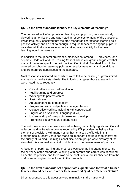teaching profession.

# **Q5: Do the draft standards identify the key elements of teaching?**

The perceived lack of emphasis on learning and pupil progress was widely viewed as an omission, and was noted in responses to many of the questions. It was frequently observed that the draft standards characterise learning as a passive activity and do not do enough to require teachers to engage pupils. It was also felt that a reference to pupils taking responsibility for their own learning would be valuable.

In addition to the general preference, most evident among ITT providers, for a separate Code of Conduct, Training School discussion groups suggested that many of the more specific behaviours identified in draft Standard 9 would be covered by school or statutory policies or employment terms and conditions, and are therefore superfluous to the standard.

Most responses indicated areas which were felt to be missing or given limited emphasis in the draft standards. The following list gives those areas which were noted most frequently:

- Critical reflection and self-evaluation
- Pupil learning and progress
- Working with parents/carers
- Pastoral care
- An understanding of pedagogy
- Progression within subiects across age phases
- Collaborative working, including with support staff
- English as an Additional Language (EAL)
- Understanding of how pupils learn and develop
- Promoting equality/equal opportunities

The first three areas listed were viewed as being particularly significant. Critical reflection and self-evaluation was reported by ITT providers as being a key element of provision, with many noting that its raised profile within ITT programmes in recent years has made an important contribution to improving the quality of training. Training School discussion groups were similarly of the view that this area makes a vital contribution to the development of practice.

A focus on of pupil learning and progress was seen as important in ensuring the currency of the standards. Working with parents and carers was described as central to practice and there was some confusion about its absence from the draft standards given its inclusion in the preamble.

## **Q6: Do the draft standards set appropriate expectations for what a trainee teacher should achieve in order to be awarded Qualified Teacher Status?**

Direct responses to this question were minimal, with the majority of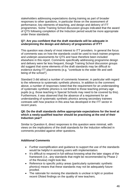stakeholders addressing expectations during training as part of broader responses to other questions, in particular those on the assessment of performance, key elements of teaching, and design and delivery of ITT programmes. Some Training School discussion groups indicated that the award of QTS following completion of the Induction period would be more appropriate under these standards.

#### **Q7: Are you confident that the draft standards will be adequate in underpinning the design and delivery of programmes of ITT?**

This question was clearly of most interest to ITT providers. In general the focus of comments was on how the standards could be used to track trainee progress and underpin assessments for QTS and have therefore been included elsewhere in this report. Comments specifically addressing programme design and delivery were far less frequent, though Training School discussion groups did suggest that some elements of the draft standards may be difficult to evidence during ITT placements (e.g. "contribute to the wider life and wellbeing of the school").

Standard 3 did attract a number of comments however, in particular with regard to the reference to systematic synthetic phonics. In addition to the comment above, a number of responses noted that the requirement for an understanding of systematic synthetic phonics is not limited to those teaching primary-age pupils (e.g. those teaching in Special Schools may need to be covered by this). Furthermore, it was observed that the absence of a requirement for an understanding of systematic synthetic phonics among secondary trainees contrasts with how practice in this area has developed in the ITT sector in recent years.

#### **Q8: Do the draft standards define appropriate expectations for the level at which a newly-qualified teacher should be practising at the end of their Induction year?**

Similar to Question 6, direct responses to this question were minimal, with views on the implications of the draft standards for the Induction reflected in comments provided against other questions.

# **Additional Comments**

- Further exemplification and guidance to support the use of the standards would be helpful in assisting users with implementation.
- It's difficult to respond in full without knowing what the later stages of the framework (i.e., any standards that might be recommended by Phase 2 of the Review) might look like.
- Reference to specific policy areas (particularly systematic synthetic phonics) means that these standards may not be adequately futureproofed.
- The rationale for revising the standards is unclear in light or positive recent Ofsted findings on the quality of new teachers.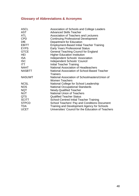# <span id="page-48-0"></span>**Glossary of Abbreviations & Acronyms**

| <b>ASCL</b>   | Association of Schools and College Leaders          |
|---------------|-----------------------------------------------------|
| <b>AST</b>    | <b>Advanced Skills Teacher</b>                      |
| ATL           | Association of Teachers and Lecturers               |
| <b>CPD</b>    | <b>Continuing Professional Development</b>          |
| <b>DfE</b>    | <b>Department for Education</b>                     |
| <b>EBITT</b>  | <b>Employment-Based Initial Teacher Training</b>    |
| <b>EYPS</b>   | <b>Early Years Professional Status</b>              |
| <b>GTCE</b>   | <b>General Teaching Council for England</b>         |
| HEI           | <b>Higher Education Institution</b>                 |
| <b>ISA</b>    | <b>Independent Schools' Association</b>             |
| <b>ISC</b>    | Independent Schools' Council                        |
| <b>ITT</b>    | <b>Initial Teacher Training</b>                     |
| <b>NAHT</b>   | <b>National Association of Headteachers</b>         |
| <b>NASBTT</b> | National Association of School-Based Teacher        |
|               | <b>Trainers</b>                                     |
| <b>NASUWT</b> | National Association of Schoolmasters/Union of      |
|               | <b>Women Teachers</b>                               |
| <b>NCSL</b>   | National College for School Leadership              |
| <b>NOS</b>    | <b>National Occupational Standards</b>              |
| <b>NQT</b>    | <b>Newly-Qualified Teacher</b>                      |
| <b>NUT</b>    | <b>National Union of Teachers</b>                   |
| <b>QTS</b>    | <b>Qualified Teacher Status</b>                     |
| <b>SCITT</b>  | <b>School-Centred Initial Teacher Training</b>      |
| <b>STPCD</b>  | School Teachers' Pay and Conditions Document        |
| <b>TDA</b>    | Training and Development Agency for Schools         |
| <b>UCET</b>   | Universities' Council for the Education of Teachers |